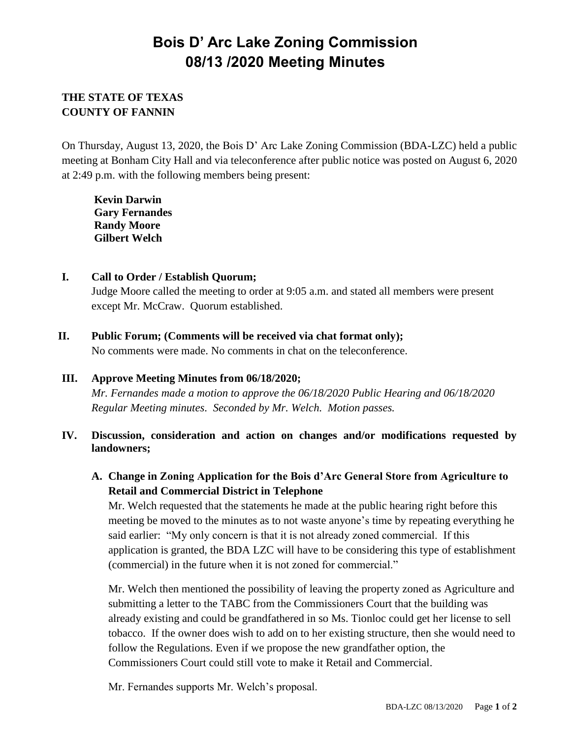# **Bois D' Arc Lake Zoning Commission 08/13 /2020 Meeting Minutes**

# **THE STATE OF TEXAS COUNTY OF FANNIN**

On Thursday, August 13, 2020, the Bois D' Arc Lake Zoning Commission (BDA-LZC) held a public meeting at Bonham City Hall and via teleconference after public notice was posted on August 6, 2020 at 2:49 p.m. with the following members being present:

**Kevin Darwin Gary Fernandes Randy Moore Gilbert Welch**

- **I. Call to Order / Establish Quorum;**  Judge Moore called the meeting to order at 9:05 a.m. and stated all members were present except Mr. McCraw. Quorum established.
- **II. Public Forum; (Comments will be received via chat format only);**

No comments were made. No comments in chat on the teleconference.

## **III. Approve Meeting Minutes from 06/18/2020;**

*Mr. Fernandes made a motion to approve the 06/18/2020 Public Hearing and 06/18/2020 Regular Meeting minutes. Seconded by Mr. Welch. Motion passes.*

## **IV. Discussion, consideration and action on changes and/or modifications requested by landowners;**

**A. Change in Zoning Application for the Bois d'Arc General Store from Agriculture to Retail and Commercial District in Telephone**

Mr. Welch requested that the statements he made at the public hearing right before this meeting be moved to the minutes as to not waste anyone's time by repeating everything he said earlier: "My only concern is that it is not already zoned commercial. If this application is granted, the BDA LZC will have to be considering this type of establishment (commercial) in the future when it is not zoned for commercial."

Mr. Welch then mentioned the possibility of leaving the property zoned as Agriculture and submitting a letter to the TABC from the Commissioners Court that the building was already existing and could be grandfathered in so Ms. Tionloc could get her license to sell tobacco. If the owner does wish to add on to her existing structure, then she would need to follow the Regulations. Even if we propose the new grandfather option, the Commissioners Court could still vote to make it Retail and Commercial.

Mr. Fernandes supports Mr. Welch's proposal.